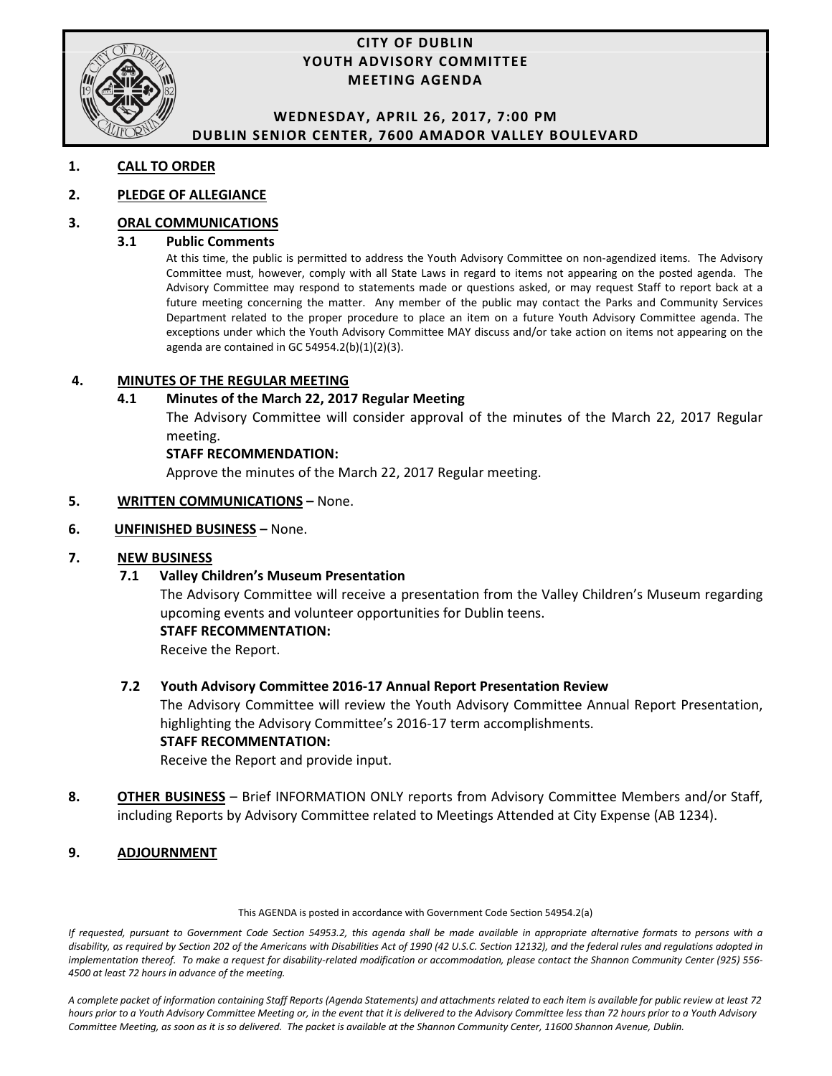

## **CITY OF DUBLIN YOUTH ADVISORY COMMITTEE MEETING AGENDA**

## **WEDNESDAY, APRIL 26, 2017, 7:00 PM DUBLIN SENIOR CENTER, 7600 AMADOR VALLEY BOULEVARD**

### **1. CALL TO ORDER**

### **2. PLEDGE OF ALLEGIANCE**

### **3. ORAL COMMUNICATIONS**

#### **3.1 Public Comments**

At this time, the public is permitted to address the Youth Advisory Committee on non-agendized items. The Advisory Committee must, however, comply with all State Laws in regard to items not appearing on the posted agenda. The Advisory Committee may respond to statements made or questions asked, or may request Staff to report back at a future meeting concerning the matter. Any member of the public may contact the Parks and Community Services Department related to the proper procedure to place an item on a future Youth Advisory Committee agenda. The exceptions under which the Youth Advisory Committee MAY discuss and/or take action on items not appearing on the agenda are contained in GC 54954.2(b)(1)(2)(3).

#### **4. MINUTES OF THE REGULAR MEETING**

### **4.1 Minutes of the March 22, 2017 Regular Meeting**

The Advisory Committee will consider approval of the minutes of the March 22, 2017 Regular meeting.

#### **STAFF RECOMMENDATION:**

Approve the minutes of the March 22, 2017 Regular meeting.

#### **5. WRITTEN COMMUNICATIONS –** None.

#### **6. UNFINISHED BUSINESS –** None.

### **7. NEW BUSINESS**

### **7.1 Valley Children's Museum Presentation**

The Advisory Committee will receive a presentation from the Valley Children's Museum regarding upcoming events and volunteer opportunities for Dublin teens.

#### **STAFF RECOMMENTATION:**

Receive the Report.

### **7.2 Youth Advisory Committee 2016-17 Annual Report Presentation Review**

The Advisory Committee will review the Youth Advisory Committee Annual Report Presentation, highlighting the Advisory Committee's 2016-17 term accomplishments. **STAFF RECOMMENTATION:** 

Receive the Report and provide input.

**8. OTHER BUSINESS** – Brief INFORMATION ONLY reports from Advisory Committee Members and/or Staff, including Reports by Advisory Committee related to Meetings Attended at City Expense (AB 1234).

### **9. ADJOURNMENT**

#### This AGENDA is posted in accordance with Government Code Section 54954.2(a)

*If requested, pursuant to Government Code Section 54953.2, this agenda shall be made available in appropriate alternative formats to persons with a disability, as required by Section 202 of the Americans with Disabilities Act of 1990 (42 U.S.C. Section 12132), and the federal rules and regulations adopted in implementation thereof. To make a request for disability-related modification or accommodation, please contact the Shannon Community Center (925) 556- 4500 at least 72 hours in advance of the meeting.*

*A complete packet of information containing Staff Reports (Agenda Statements) and attachments related to each item is available for public review at least 72 hours prior to a Youth Advisory Committee Meeting or, in the event that it is delivered to the Advisory Committee less than 72 hours prior to a Youth Advisory*  Committee Meeting, as soon as it is so delivered. The packet is available at the Shannon Community Center, 11600 Shannon Avenue, Dublin.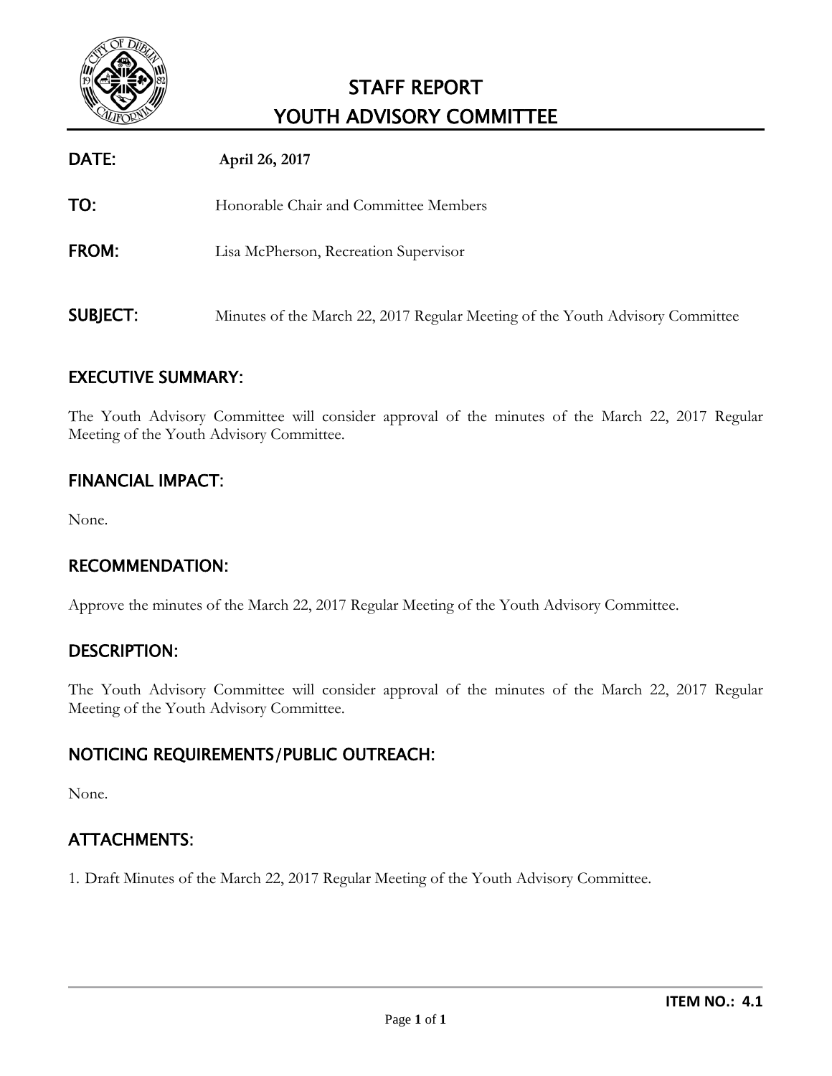

# STAFF REPORT YOUTH ADVISORY COMMITTEE

| DATE:           | April 26, 2017                                                                |
|-----------------|-------------------------------------------------------------------------------|
| TO:             | Honorable Chair and Committee Members                                         |
| <b>FROM:</b>    | Lisa McPherson, Recreation Supervisor                                         |
| <b>SUBJECT:</b> | Minutes of the March 22, 2017 Regular Meeting of the Youth Advisory Committee |

## EXECUTIVE SUMMARY:

The Youth Advisory Committee will consider approval of the minutes of the March 22, 2017 Regular Meeting of the Youth Advisory Committee.

# FINANCIAL IMPACT:

None.

# RECOMMENDATION:

Approve the minutes of the March 22, 2017 Regular Meeting of the Youth Advisory Committee.

## DESCRIPTION:

The Youth Advisory Committee will consider approval of the minutes of the March 22, 2017 Regular Meeting of the Youth Advisory Committee.

## NOTICING REQUIREMENTS/PUBLIC OUTREACH:

None.

# ATTACHMENTS:

1. Draft Minutes of the March 22, 2017 Regular Meeting of the Youth Advisory Committee.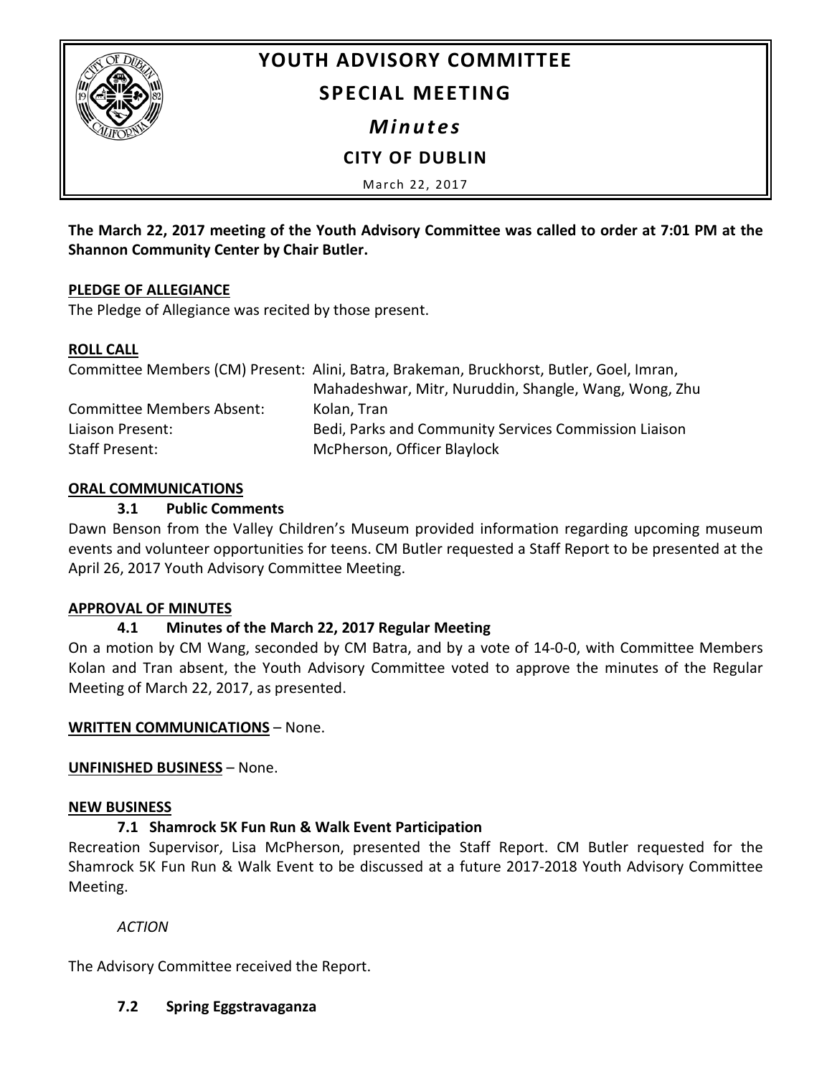

# **YOUTH ADVISORY COMMITTEE**

# **SPECIAL MEETING**

*Minutes*

**CITY OF DUBLIN**

March 22, 2017

**The March 22, 2017 meeting of the Youth Advisory Committee was called to order at 7:01 PM at the Shannon Community Center by Chair Butler.**

## **PLEDGE OF ALLEGIANCE**

The Pledge of Allegiance was recited by those present.

## **ROLL CALL**

|                                  | Committee Members (CM) Present: Alini, Batra, Brakeman, Bruckhorst, Butler, Goel, Imran, |
|----------------------------------|------------------------------------------------------------------------------------------|
|                                  | Mahadeshwar, Mitr, Nuruddin, Shangle, Wang, Wong, Zhu                                    |
| <b>Committee Members Absent:</b> | Kolan, Tran                                                                              |
| Liaison Present:                 | Bedi, Parks and Community Services Commission Liaison                                    |
| Staff Present:                   | McPherson, Officer Blaylock                                                              |

## **ORAL COMMUNICATIONS**

## **3.1 Public Comments**

Dawn Benson from the Valley Children's Museum provided information regarding upcoming museum events and volunteer opportunities for teens. CM Butler requested a Staff Report to be presented at the April 26, 2017 Youth Advisory Committee Meeting.

## **APPROVAL OF MINUTES**

## **4.1 Minutes of the March 22, 2017 Regular Meeting**

On a motion by CM Wang, seconded by CM Batra, and by a vote of 14-0-0, with Committee Members Kolan and Tran absent, the Youth Advisory Committee voted to approve the minutes of the Regular Meeting of March 22, 2017, as presented.

## **WRITTEN COMMUNICATIONS** – None.

**UNFINISHED BUSINESS** – None.

## **NEW BUSINESS**

## **7.1 Shamrock 5K Fun Run & Walk Event Participation**

Recreation Supervisor, Lisa McPherson, presented the Staff Report. CM Butler requested for the Shamrock 5K Fun Run & Walk Event to be discussed at a future 2017-2018 Youth Advisory Committee Meeting.

*ACTION*

The Advisory Committee received the Report.

**7.2 Spring Eggstravaganza**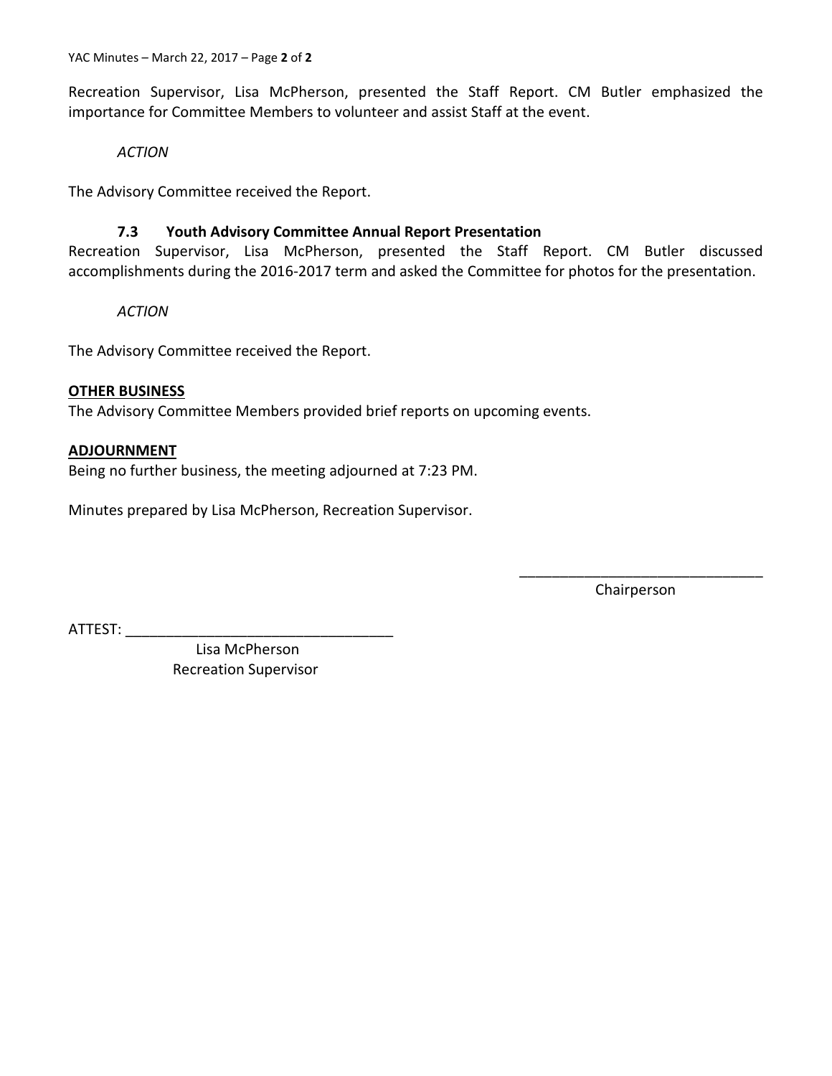YAC Minutes – March 22, 2017 – Page **2** of **2**

Recreation Supervisor, Lisa McPherson, presented the Staff Report. CM Butler emphasized the importance for Committee Members to volunteer and assist Staff at the event.

*ACTION*

The Advisory Committee received the Report.

## **7.3 Youth Advisory Committee Annual Report Presentation**

Recreation Supervisor, Lisa McPherson, presented the Staff Report. CM Butler discussed accomplishments during the 2016-2017 term and asked the Committee for photos for the presentation.

*ACTION*

The Advisory Committee received the Report.

### **OTHER BUSINESS**

The Advisory Committee Members provided brief reports on upcoming events.

### **ADJOURNMENT**

Being no further business, the meeting adjourned at 7:23 PM.

Minutes prepared by Lisa McPherson, Recreation Supervisor.

\_\_\_\_\_\_\_\_\_\_\_\_\_\_\_\_\_\_\_\_\_\_\_\_\_\_\_\_\_\_ Chairperson

ATTEST: \_\_\_\_\_\_\_\_\_\_\_\_\_\_\_\_\_\_\_\_\_\_\_\_\_\_\_\_\_\_\_\_\_

 Lisa McPherson Recreation Supervisor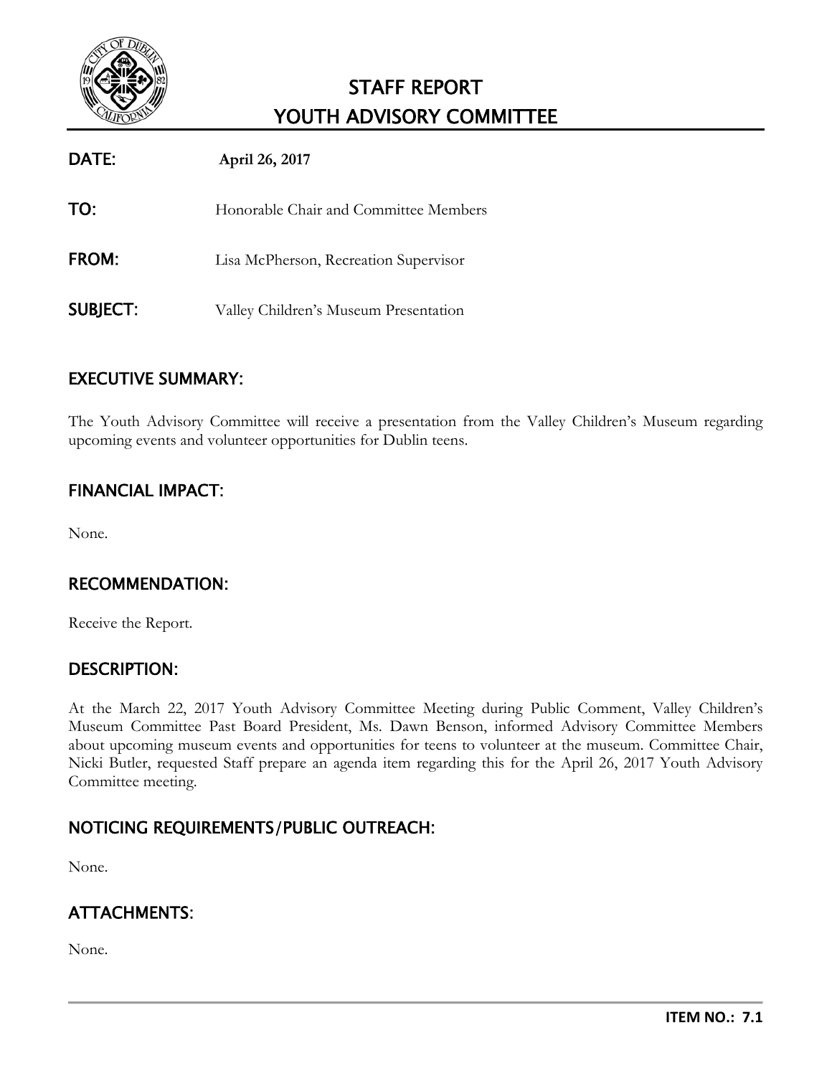

# STAFF REPORT YOUTH ADVISORY COMMITTEE

| DATE:           | April 26, 2017                        |
|-----------------|---------------------------------------|
| TO:             | Honorable Chair and Committee Members |
| <b>FROM:</b>    | Lisa McPherson, Recreation Supervisor |
| <b>SUBJECT:</b> | Valley Children's Museum Presentation |

# EXECUTIVE SUMMARY:

The Youth Advisory Committee will receive a presentation from the Valley Children's Museum regarding upcoming events and volunteer opportunities for Dublin teens.

# FINANCIAL IMPACT:

None.

# RECOMMENDATION:

Receive the Report.

## DESCRIPTION:

At the March 22, 2017 Youth Advisory Committee Meeting during Public Comment, Valley Children's Museum Committee Past Board President, Ms. Dawn Benson, informed Advisory Committee Members about upcoming museum events and opportunities for teens to volunteer at the museum. Committee Chair, Nicki Butler, requested Staff prepare an agenda item regarding this for the April 26, 2017 Youth Advisory Committee meeting.

# NOTICING REQUIREMENTS/PUBLIC OUTREACH:

None.

# ATTACHMENTS:

None.